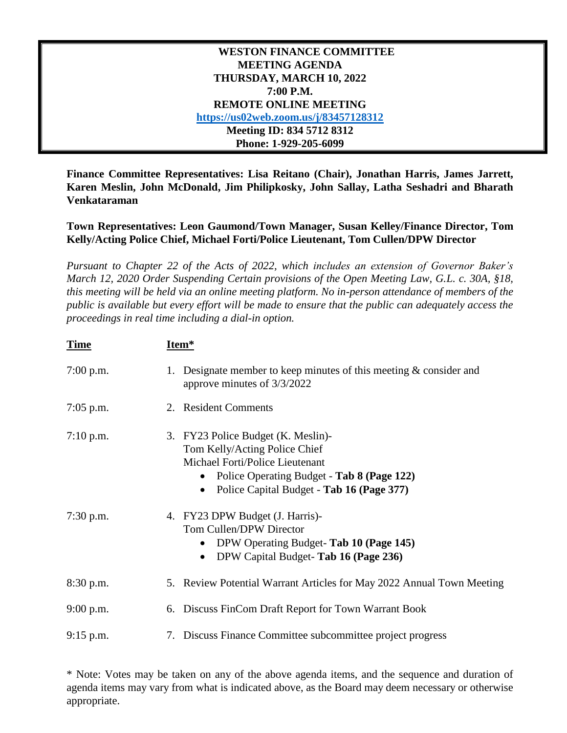| <b>WESTON FINANCE COMMITTEE</b>       |
|---------------------------------------|
| <b>MEETING AGENDA</b>                 |
| THURSDAY, MARCH 10, 2022              |
| 7:00 P.M.                             |
| <b>REMOTE ONLINE MEETING</b>          |
| https://us02web.zoom.us/j/83457128312 |
| Meeting ID: 834 5712 8312             |
| Phone: 1-929-205-6099                 |

**Finance Committee Representatives: Lisa Reitano (Chair), Jonathan Harris, James Jarrett, Karen Meslin, John McDonald, Jim Philipkosky, John Sallay, Latha Seshadri and Bharath Venkataraman**

**Town Representatives: Leon Gaumond/Town Manager, Susan Kelley/Finance Director, Tom Kelly/Acting Police Chief, Michael Forti/Police Lieutenant, Tom Cullen/DPW Director**

*Pursuant to Chapter 22 of the Acts of 2022, which includes an extension of Governor Baker's March 12, 2020 Order Suspending Certain provisions of the Open Meeting Law, G.L. c. 30A, §18, this meeting will be held via an online meeting platform. No in-person attendance of members of the public is available but every effort will be made to ensure that the public can adequately access the proceedings in real time including a dial-in option.*

| <b>Time</b> | Item*                                                                                                                                                                                                          |
|-------------|----------------------------------------------------------------------------------------------------------------------------------------------------------------------------------------------------------------|
| $7:00$ p.m. | Designate member to keep minutes of this meeting $\&$ consider and<br>1.<br>approve minutes of 3/3/2022                                                                                                        |
| $7:05$ p.m. | 2. Resident Comments                                                                                                                                                                                           |
| $7:10$ p.m. | 3. FY23 Police Budget (K. Meslin)-<br>Tom Kelly/Acting Police Chief<br>Michael Forti/Police Lieutenant<br>Police Operating Budget - Tab 8 (Page 122)<br>$\bullet$<br>Police Capital Budget - Tab 16 (Page 377) |
| $7:30$ p.m. | 4. FY23 DPW Budget (J. Harris)-<br>Tom Cullen/DPW Director<br>DPW Operating Budget-Tab 10 (Page 145)<br>DPW Capital Budget-Tab 16 (Page 236)<br>$\bullet$                                                      |
| 8:30 p.m.   | 5. Review Potential Warrant Articles for May 2022 Annual Town Meeting                                                                                                                                          |
| $9:00$ p.m. | 6. Discuss FinCom Draft Report for Town Warrant Book                                                                                                                                                           |
| $9:15$ p.m. | 7. Discuss Finance Committee subcommittee project progress                                                                                                                                                     |

\* Note: Votes may be taken on any of the above agenda items, and the sequence and duration of agenda items may vary from what is indicated above, as the Board may deem necessary or otherwise appropriate.